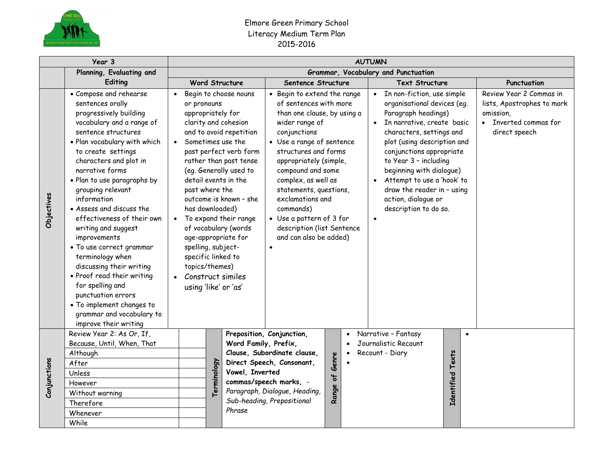

## Elmore Green Primary School Literacy Medium Term Plan 2015-2016

|              | Year 3                                                                                                                                                                                                                                                                                                                                                                                                                                                                                                                                                                                                                                 | <b>AUTUMN</b>                                                                                                                                                                      |             |                                                                                                                                                                                                                                                                                                         |                                                                                                                                                                                                                                                                                                                                                                                |                          |                           |                                                                                                                                                                                                                                                                                                                                                         |                   |                                                                                                              |             |  |
|--------------|----------------------------------------------------------------------------------------------------------------------------------------------------------------------------------------------------------------------------------------------------------------------------------------------------------------------------------------------------------------------------------------------------------------------------------------------------------------------------------------------------------------------------------------------------------------------------------------------------------------------------------------|------------------------------------------------------------------------------------------------------------------------------------------------------------------------------------|-------------|---------------------------------------------------------------------------------------------------------------------------------------------------------------------------------------------------------------------------------------------------------------------------------------------------------|--------------------------------------------------------------------------------------------------------------------------------------------------------------------------------------------------------------------------------------------------------------------------------------------------------------------------------------------------------------------------------|--------------------------|---------------------------|---------------------------------------------------------------------------------------------------------------------------------------------------------------------------------------------------------------------------------------------------------------------------------------------------------------------------------------------------------|-------------------|--------------------------------------------------------------------------------------------------------------|-------------|--|
|              | Planning, Evaluating and                                                                                                                                                                                                                                                                                                                                                                                                                                                                                                                                                                                                               | Grammar, Vocabulary and Punctuation                                                                                                                                                |             |                                                                                                                                                                                                                                                                                                         |                                                                                                                                                                                                                                                                                                                                                                                |                          |                           |                                                                                                                                                                                                                                                                                                                                                         |                   |                                                                                                              |             |  |
|              | Editing                                                                                                                                                                                                                                                                                                                                                                                                                                                                                                                                                                                                                                |                                                                                                                                                                                    |             | <b>Word Structure</b>                                                                                                                                                                                                                                                                                   | Sentence Structure                                                                                                                                                                                                                                                                                                                                                             |                          |                           | <b>Text Structure</b>                                                                                                                                                                                                                                                                                                                                   |                   |                                                                                                              | Punctuation |  |
| Objectives   | • Compose and rehearse<br>sentences orally<br>progressively building<br>vocabulary and a range of<br>sentence structures<br>· Plan vocabulary with which<br>to create settings<br>characters and plot in<br>narrative forms<br>· Plan to use paragraphs by<br>grouping relevant<br>information<br>• Assess and discuss the<br>effectiveness of their own<br>writing and suggest<br>improvements<br>• To use correct grammar<br>terminology when<br>discussing their writing<br>• Proof read their writing<br>for spelling and<br>punctuation errors<br>• To implement changes to<br>grammar and vocabulary to<br>improve their writing | or pronouns<br>appropriately for<br>past where the<br>has downloaded)<br>spelling, subject-<br>specific linked to<br>topics/themes)<br>• Construct similes<br>using 'like' or 'as' |             | Begin to choose nouns<br>clarity and cohesion<br>and to avoid repetition<br>Sometimes use the<br>past perfect verb form<br>rather than past tense<br>(eg. Generally used to<br>detail events in the<br>outcome is known - she<br>• To expand their range<br>of vocabulary (words<br>age-appropriate for | of sentences with more<br>than one clause, by using a<br>wider range of<br>conjunctions<br>• Use a range of sentence<br>structures and forms<br>appropriately (simple,<br>compound and some<br>complex, as well as<br>statements, questions,<br>exclamations and<br>commands)<br>• Use a pattern of 3 for<br>description (list Sentence<br>and can also be added)<br>$\bullet$ |                          | Begin to extend the range | organisational devices (eg.<br>Paragraph headings)<br>• In narrative, create basic<br>characters, settings and<br>plot (using description and<br>conjunctions appropriate<br>to Year 3 - including<br>beginning with dialogue)<br>Attempt to use a 'hook' to<br>$\bullet$<br>draw the reader in - using<br>action, dialogue or<br>description to do so. |                   | Review Year 2 Commas in<br>lists, Apostrophes to mark<br>omission,<br>• Inverted commas for<br>direct speech |             |  |
|              | Review Year 2: As Or, If,<br>Because, Until, When, That                                                                                                                                                                                                                                                                                                                                                                                                                                                                                                                                                                                |                                                                                                                                                                                    |             |                                                                                                                                                                                                                                                                                                         | Preposition, Conjunction,<br>Word Family, Prefix,                                                                                                                                                                                                                                                                                                                              |                          | $\bullet$                 | Narrative - Fantasy<br>Journalistic Recount                                                                                                                                                                                                                                                                                                             |                   | $\bullet$                                                                                                    |             |  |
|              | Although                                                                                                                                                                                                                                                                                                                                                                                                                                                                                                                                                                                                                               |                                                                                                                                                                                    |             |                                                                                                                                                                                                                                                                                                         | Clause, Subordinate clause,                                                                                                                                                                                                                                                                                                                                                    | Genre                    |                           | Recount - Diary                                                                                                                                                                                                                                                                                                                                         |                   |                                                                                                              |             |  |
|              | After                                                                                                                                                                                                                                                                                                                                                                                                                                                                                                                                                                                                                                  |                                                                                                                                                                                    |             |                                                                                                                                                                                                                                                                                                         | Direct Speech, Consonant,                                                                                                                                                                                                                                                                                                                                                      |                          |                           |                                                                                                                                                                                                                                                                                                                                                         | Texts             |                                                                                                              |             |  |
|              | Unless                                                                                                                                                                                                                                                                                                                                                                                                                                                                                                                                                                                                                                 |                                                                                                                                                                                    |             | Vowel, Inverted                                                                                                                                                                                                                                                                                         |                                                                                                                                                                                                                                                                                                                                                                                |                          |                           |                                                                                                                                                                                                                                                                                                                                                         |                   |                                                                                                              |             |  |
| Conjunctions | However                                                                                                                                                                                                                                                                                                                                                                                                                                                                                                                                                                                                                                |                                                                                                                                                                                    | Terminology |                                                                                                                                                                                                                                                                                                         | commas/speech marks, -                                                                                                                                                                                                                                                                                                                                                         | $\overline{\phantom{a}}$ |                           |                                                                                                                                                                                                                                                                                                                                                         |                   |                                                                                                              |             |  |
|              | Without warning                                                                                                                                                                                                                                                                                                                                                                                                                                                                                                                                                                                                                        |                                                                                                                                                                                    |             |                                                                                                                                                                                                                                                                                                         | Paragraph, Dialogue, Heading,                                                                                                                                                                                                                                                                                                                                                  | Range                    |                           |                                                                                                                                                                                                                                                                                                                                                         | <b>Identified</b> |                                                                                                              |             |  |
|              | Therefore                                                                                                                                                                                                                                                                                                                                                                                                                                                                                                                                                                                                                              |                                                                                                                                                                                    |             | Sub-heading, Prepositional                                                                                                                                                                                                                                                                              |                                                                                                                                                                                                                                                                                                                                                                                |                          |                           |                                                                                                                                                                                                                                                                                                                                                         |                   |                                                                                                              |             |  |
|              | Whenever                                                                                                                                                                                                                                                                                                                                                                                                                                                                                                                                                                                                                               |                                                                                                                                                                                    |             | Phrase                                                                                                                                                                                                                                                                                                  |                                                                                                                                                                                                                                                                                                                                                                                |                          |                           |                                                                                                                                                                                                                                                                                                                                                         |                   |                                                                                                              |             |  |
|              | While                                                                                                                                                                                                                                                                                                                                                                                                                                                                                                                                                                                                                                  |                                                                                                                                                                                    |             |                                                                                                                                                                                                                                                                                                         |                                                                                                                                                                                                                                                                                                                                                                                |                          |                           |                                                                                                                                                                                                                                                                                                                                                         |                   |                                                                                                              |             |  |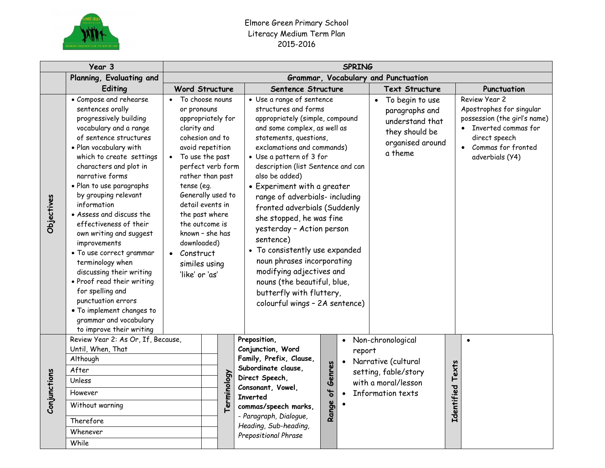

## Elmore Green Primary School Literacy Medium Term Plan 2015-2016

|              | Year 3                                                                                                                                                                                                                                                                                                                                                                                                                                                                                                                                                                                                                                 | <b>SPRING</b>                                                                                                                                                                                                                                                                                                                                            |                                                                                                                                                                                                                                                  |                                                                                                                                                                                                                                                                                                                                                                                                                                                                                                                                                                                                                                  |                     |                                                                                                              |                                                                                                                    |           |                                                                                                                                                                |  |  |  |  |
|--------------|----------------------------------------------------------------------------------------------------------------------------------------------------------------------------------------------------------------------------------------------------------------------------------------------------------------------------------------------------------------------------------------------------------------------------------------------------------------------------------------------------------------------------------------------------------------------------------------------------------------------------------------|----------------------------------------------------------------------------------------------------------------------------------------------------------------------------------------------------------------------------------------------------------------------------------------------------------------------------------------------------------|--------------------------------------------------------------------------------------------------------------------------------------------------------------------------------------------------------------------------------------------------|----------------------------------------------------------------------------------------------------------------------------------------------------------------------------------------------------------------------------------------------------------------------------------------------------------------------------------------------------------------------------------------------------------------------------------------------------------------------------------------------------------------------------------------------------------------------------------------------------------------------------------|---------------------|--------------------------------------------------------------------------------------------------------------|--------------------------------------------------------------------------------------------------------------------|-----------|----------------------------------------------------------------------------------------------------------------------------------------------------------------|--|--|--|--|
|              | Planning, Evaluating and                                                                                                                                                                                                                                                                                                                                                                                                                                                                                                                                                                                                               | Grammar, Vocabulary and Punctuation                                                                                                                                                                                                                                                                                                                      |                                                                                                                                                                                                                                                  |                                                                                                                                                                                                                                                                                                                                                                                                                                                                                                                                                                                                                                  |                     |                                                                                                              |                                                                                                                    |           |                                                                                                                                                                |  |  |  |  |
|              | Editing                                                                                                                                                                                                                                                                                                                                                                                                                                                                                                                                                                                                                                | <b>Word Structure</b>                                                                                                                                                                                                                                                                                                                                    |                                                                                                                                                                                                                                                  | Sentence Structure                                                                                                                                                                                                                                                                                                                                                                                                                                                                                                                                                                                                               |                     |                                                                                                              | <b>Text Structure</b>                                                                                              |           | Punctuation                                                                                                                                                    |  |  |  |  |
| Objectives   | • Compose and rehearse<br>sentences orally<br>progressively building<br>vocabulary and a range<br>of sentence structures<br>· Plan vocabulary with<br>which to create settings<br>characters and plot in<br>narrative forms<br>· Plan to use paragraphs<br>by grouping relevant<br>information<br>• Assess and discuss the<br>effectiveness of their<br>own writing and suggest<br>improvements<br>• To use correct grammar<br>terminology when<br>discussing their writing<br>• Proof read their writing<br>for spelling and<br>punctuation errors<br>. To implement changes to<br>grammar and vocabulary<br>to improve their writing | • To choose nouns<br>or pronouns<br>appropriately for<br>clarity and<br>cohesion and to<br>avoid repetition<br>• To use the past<br>perfect verb form<br>rather than past<br>tense (eg.<br>Generally used to<br>detail events in<br>the past where<br>the outcome is<br>known - she has<br>downloaded)<br>• Construct<br>similes using<br>'like' or 'as' |                                                                                                                                                                                                                                                  | • Use a range of sentence<br>structures and forms<br>appropriately (simple, compound<br>and some complex, as well as<br>statements, questions,<br>exclamations and commands)<br>• Use a pattern of 3 for<br>description (list Sentence and can<br>also be added)<br>• Experiment with a greater<br>range of adverbials- including<br>fronted adverbials (Suddenly<br>she stopped, he was fine<br>yesterday - Action person<br>sentence)<br>• To consistently use expanded<br>noun phrases incorporating<br>modifying adjectives and<br>nouns (the beautiful, blue,<br>butterfly with fluttery,<br>colourful wings - 2A sentence) |                     |                                                                                                              | To begin to use<br>$\bullet$<br>paragraphs and<br>understand that<br>they should be<br>organised around<br>a theme |           | Review Year 2<br>Apostrophes for singular<br>possession (the girl's name)<br>• Inverted commas for<br>direct speech<br>• Commas for fronted<br>adverbials (Y4) |  |  |  |  |
| Conjunctions | Review Year 2: As Or, If, Because,<br>Until, When, That<br>Although<br>After<br>Terminology<br>Unless<br>However<br>Without warning<br>Therefore<br>Whenever<br>While                                                                                                                                                                                                                                                                                                                                                                                                                                                                  |                                                                                                                                                                                                                                                                                                                                                          | Preposition,<br>Conjunction, Word<br>Family, Prefix, Clause,<br>Subordinate clause,<br>Direct Speech,<br>Consonant, Vowel,<br><b>Inverted</b><br>commas/speech marks,<br>- Paragraph, Dialogue,<br>Heading, Sub-heading,<br>Prepositional Phrase | Genres<br>Range of                                                                                                                                                                                                                                                                                                                                                                                                                                                                                                                                                                                                               | report<br>$\bullet$ | Non-chronological<br>Narrative (cultural<br>setting, fable/story<br>with a moral/lesson<br>Information texts | Identified Texts                                                                                                   | $\bullet$ |                                                                                                                                                                |  |  |  |  |